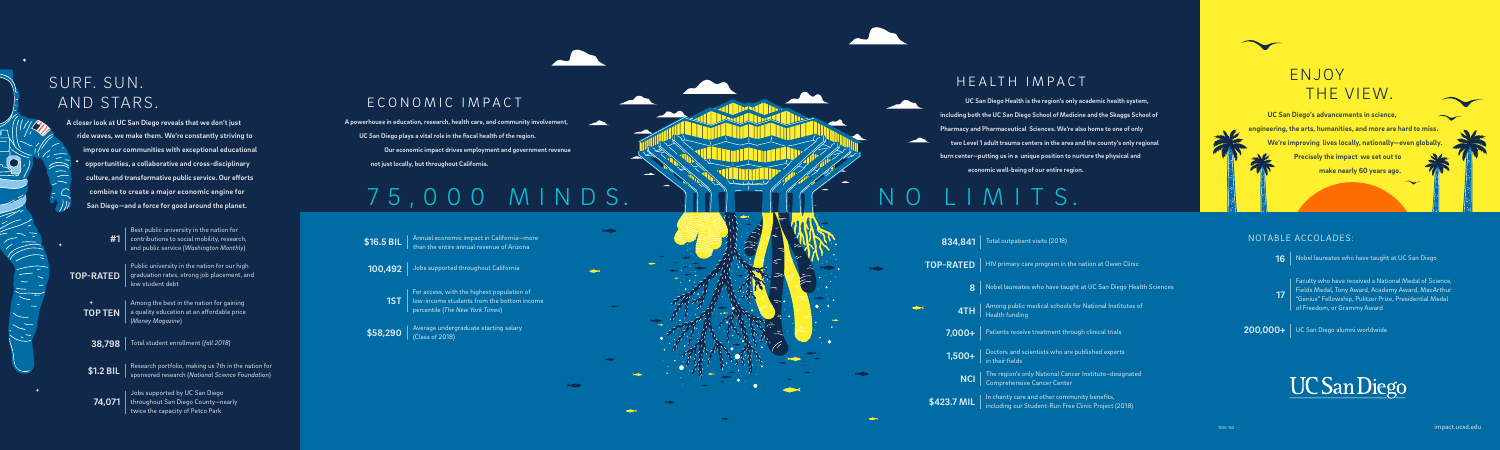## SURF. SUN. AND STARS.

**A closer look at UC San Diego reveals that we don't just ride waves, we make them. We're constantly striving to improve our communities with exceptional educational opportunities, a collaborative and cross-disciplinary culture, and transformative public service. Our efforts combine to create a major economic engine for San Diego—and a force for good around the planet.**

> $\mathsf{TOP\,TEN} \parallel$  a quality education at an affordable price Among the best in the nation for gaining (*Money Magazine*)

**38,798** Total student enrollment (*fall 2018*)

| Public university in the nation for our high  $\textbf{TOP-RATED} \parallel$  graduation rates, strong job placement, and low student debt

> Jobs supported by UC San Diego  $\textbf{74,071} \parallel$  throughout San Diego County—nearly twice the capacity of Petco Park

Best public university in the nation for  $\#1$   $\mid$  contributions to social mobility, research, and public service (*Washington Monthly*)

 $\left[\frac{1}{2},\frac{1}{2},\frac{1}{2}\right]$ 

ECONOMIC IMPACT **UC San Diego Health is the region's only academic health system, including both the UC San Diego School of Medicine and the Skaggs School of Pharmacy and Pharmaceutical Sciences. We're also home to one of only two Level 1 adult trauma centers in the area and the county's only regional burn center—putting us in a unique position to nurture the physical and economic well-being of our entire region.**

<u>and</u>

Research portfolio, making us 7th in the nation for sponsored research (*National Science Foundation*) **\$1.2 BIL**

 **A powerhouse in education, research, health care, and community involvement,** 

**UC San Diego plays a vital role in the fiscal health of the region.**

 **Our economic impact drives employment and government revenue not just locally, but throughout California.**

# 75,000 MINDS. NINITIALIMITS.

| For access, with the highest population of  $\textbf{1ST} \parallel$  low-income students from the bottom income percentile (*The New York Times*)

 $$58,290$   $\overline{\phantom{1}}\phantom{1}^{\text{Average}}$  undergraduate starting salary (Class of 2018)

### HEALTH IMPACT

| 834,841          | Total outpatient visits (2018)                                                                                                     |
|------------------|------------------------------------------------------------------------------------------------------------------------------------|
| <b>TOP-RATED</b> | HIV primary care program in the nation at Owen Clinic                                                                              |
| 8                | Nobel laureates who have taught at UC San Diego Health Sciences                                                                    |
|                  | $\overline{\bf 4TH}\parallel$ Among public medical schools for National Institutes of                                              |
| 7,000+           | Patients receive treatment through clinical trials                                                                                 |
|                  | $\begin{array}{ l } \hline \textbf{1,500+} & \textbf{Dactors} \\\hline \text{in their fields} \end{array}$                         |
| NCI              | The region's only National Cancer Institute-designated<br>Comprehensive Cancer Center                                              |
|                  | $\sqrt{\$423.7\,\text{MIL}}$ In charity care and other community benefits,<br>including our Student-Run Free Clinic Project (2018) |

**200,000+** UC San Diego alumni worldwide

# **UC San Diego**

**16** Nobel laureates who have taught at UC San Diego

**17**

Faculty who have received a National Medal of Science, Fields Medal, Tony Award, Academy Award, MacArthur "Genius" Fellowship, Pulitzer Prize, Presidential Medal of Freedom, or Grammy Award

#### NOTABLE ACCOLADES:



**UC San Diego's advancements in science, engineering, the arts, humanities, and more are hard to miss. We're improving lives locally, nationally—even globally.** 

 **Precisely the impact we set out to make nearly 60 years ago.**

Annual economic impact in California—more than the entire annual revenue of Arizona **\$16.5 BIL**

**100,492** Jobs supported throughout California